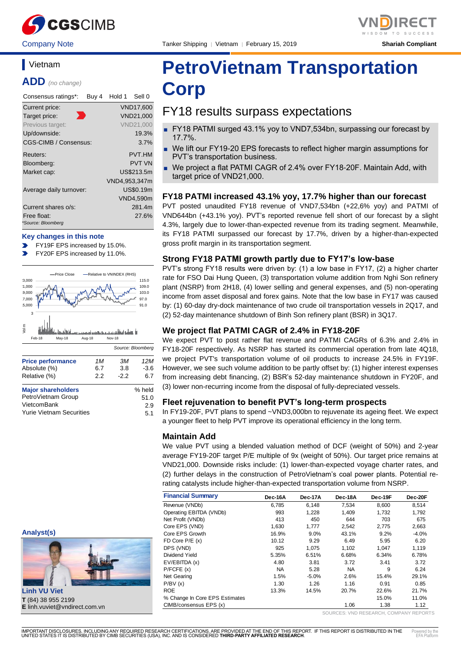

Company Note Tanker Shipping │ Vietnam │ February 15, 2019 **Shariah Compliant**



# **Vietnam**

**ADD** *(no change)*

| Consensus ratings*:               | Buy 4 | Hold 1        | Sell 0           |
|-----------------------------------|-------|---------------|------------------|
| Current price:                    |       |               | <b>VND17,600</b> |
| Target price:                     |       |               | VND21,000        |
| Previous target:                  |       |               | <b>VND21,000</b> |
| Up/downside:                      |       |               | 19.3%            |
| CGS-CIMB / Consensus:             |       |               | 3.7%             |
| Reuters:                          |       |               | <b>PVT.HM</b>    |
| Bloomberg:                        |       |               | <b>PVT VN</b>    |
| Market cap:                       |       |               | US\$213.5m       |
|                                   |       | VND4,953,347m |                  |
| Average daily turnover:           |       |               | US\$0.19m        |
|                                   |       |               | VND4,590m        |
| Current shares o/s:               |       |               | 281.4m           |
| Free float:<br>*Source: Bloomberg |       |               | 27.6%            |

#### **Key changes in this note**

- FY19F EPS increased by 15.0%.
- FY20F EPS increased by 11.0%.



| <b>Price performance</b>        | 1M  | ЗМ     | 12 M   |
|---------------------------------|-----|--------|--------|
| Absolute (%)                    | 6.7 | 3.8    | $-3.6$ |
| Relative (%)                    | 2.2 | $-2.2$ | 6.7    |
| <b>Major shareholders</b>       |     |        | % held |
| PetroVietnam Group              |     |        | 51.0   |
| VietcomBank                     |     |        | 2.9    |
| <b>Yurie Vietnam Securities</b> |     |        | 5.1    |





**Linh VU Viet T** (84) 38 955 2199 **E** linh.vuviet@vndirect.com.vn

# **PetroVietnam Transportation Corp**

# FY18 results surpass expectations

- FY18 PATMI surged 43.1% yoy to VND7,534bn, surpassing our forecast by 17.7%.
- We lift our FY19-20 EPS forecasts to reflect higher margin assumptions for PVT's transportation business.
- We project a flat PATMI CAGR of 2.4% over FY18-20F. Maintain Add, with target price of VND21,000.

#### **FY18 PATMI increased 43.1% yoy, 17.7% higher than our forecast**

PVT posted unaudited FY18 revenue of VND7,534bn (+22,6% yoy) and PATMI of VND644bn (+43.1% yoy). PVT's reported revenue fell short of our forecast by a slight 4.3%, largely due to lower-than-expected revenue from its trading segment. Meanwhile, its FY18 PATMI surpassed our forecast by 17.7%, driven by a higher-than-expected gross profit margin in its transportation segment.

#### **Strong FY18 PATMI growth partly due to FY17's low-base**

PVT's strong FY18 results were driven by: (1) a low base in FY17, (2) a higher charter rate for FSO Dai Hung Queen, (3) transportation volume addition from Nghi Son refinery plant (NSRP) from 2H18, (4) lower selling and general expenses, and (5) non-operating income from asset disposal and forex gains. Note that the low base in FY17 was caused by: (1) 60-day dry-dock maintenance of two crude oil transportation vessels in 2Q17, and (2) 52-day maintenance shutdown of Binh Son refinery plant (BSR) in 3Q17.

#### **We project flat PATMI CAGR of 2.4% in FY18-20F**

We expect PVT to post rather flat revenue and PATMI CAGRs of 6.3% and 2.4% in FY18-20F respectively. As NSRP has started its commercial operation from late 4Q18, we project PVT's transportation volume of oil products to increase 24.5% in FY19F. However, we see such volume addition to be partly offset by: (1) higher interest expenses from increasing debt financing, (2) BSR's 52-day maintenance shutdown in FY20F, and (3) lower non-recurring income from the disposal of fully-depreciated vessels.

#### **Fleet rejuvenation to benefit PVT's long-term prospects**

In FY19-20F, PVT plans to spend ~VND3,000bn to rejuvenate its ageing fleet. We expect a younger fleet to help PVT improve its operational efficiency in the long term.

#### **Maintain Add**

We value PVT using a blended valuation method of DCF (weight of 50%) and 2-year average FY19-20F target P/E multiple of 9x (weight of 50%). Our target price remains at VND21,000. Downside risks include: (1) lower-than-expected voyage charter rates, and (2) further delays in the construction of PetroVietnam's coal power plants. Potential rerating catalysts include higher-than-expected transportation volume from NSRP.

| <b>Financial Summary</b>       | Dec-16A   | Dec-17A | Dec-18A   | Dec-19F | Dec-20F |
|--------------------------------|-----------|---------|-----------|---------|---------|
| Revenue (VNDb)                 | 6.785     | 6.148   | 7.534     | 8.600   | 8,514   |
| Operating EBITDA (VNDb)        | 993       | 1.228   | 1,409     | 1.732   | 1,792   |
| Net Profit (VNDb)              | 413       | 450     | 644       | 703     | 675     |
| Core EPS (VND)                 | 1.630     | 1.777   | 2,542     | 2.775   | 2,663   |
| Core EPS Growth                | 16.9%     | 9.0%    | 43.1%     | 9.2%    | $-4.0%$ |
| FD Core $P/E(x)$               | 10.12     | 9.29    | 6.49      | 5.95    | 6.20    |
| DPS (VND)                      | 925       | 1.075   | 1.102     | 1.047   | 1.119   |
| Dividend Yield                 | 5.35%     | 6.51%   | 6.68%     | 6.34%   | 6.78%   |
| EV/EBITDA (x)                  | 4.80      | 3.81    | 3.72      | 3.41    | 3.72    |
| P/FCFE(x)                      | <b>NA</b> | 5.28    | <b>NA</b> | 9       | 6.24    |
| Net Gearing                    | 1.5%      | $-5.0%$ | 2.6%      | 15.4%   | 29.1%   |
| P/BV(x)                        | 1.30      | 1.26    | 1.16      | 0.91    | 0.85    |
| <b>ROE</b>                     | 13.3%     | 14.5%   | 20.7%     | 22.6%   | 21.7%   |
| % Change In Core EPS Estimates |           |         |           | 15.0%   | 11.0%   |
| CIMB/consensus EPS (x)         |           |         | 1.06      | 1.38    | 1.12    |

SOURCES: VND RESEARCH, COMPANY REPORTS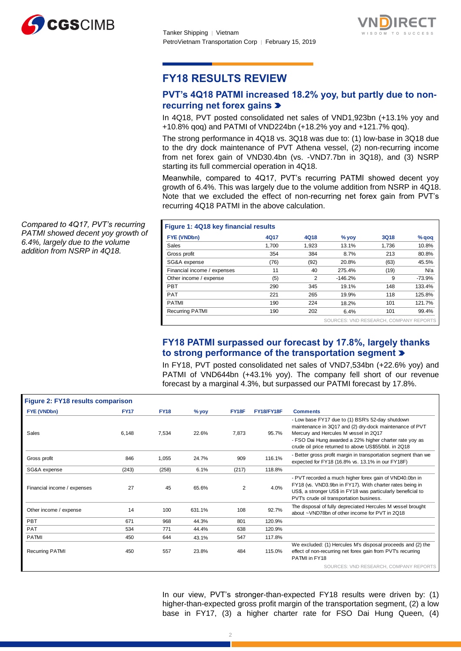



# **FY18 RESULTS REVIEW**

## **PVT's 4Q18 PATMI increased 18.2% yoy, but partly due to nonrecurring net forex gains**

In 4Q18, PVT posted consolidated net sales of VND1,923bn (+13.1% yoy and +10.8% qoq) and PATMI of VND224bn (+18.2% yoy and +121.7% qoq).

The strong performance in 4Q18 vs. 3Q18 was due to: (1) low-base in 3Q18 due to the dry dock maintenance of PVT Athena vessel, (2) non-recurring income from net forex gain of VND30.4bn (vs. -VND7.7bn in 3Q18), and (3) NSRP starting its full commercial operation in 4Q18.

Meanwhile, compared to 4Q17, PVT's recurring PATMI showed decent yoy growth of 6.4%. This was largely due to the volume addition from NSRP in 4Q18. Note that we excluded the effect of non-recurring net forex gain from PVT's recurring 4Q18 PATMI in the above calculation.

| Figure 1: 4Q18 key financial results |       |                |                                        |       |         |
|--------------------------------------|-------|----------------|----------------------------------------|-------|---------|
| <b>FYE (VNDbn)</b>                   | 4Q17  | 4Q18           | $%$ yoy                                | 3Q18  | $%$ qoq |
| Sales                                | 1.700 | 1,923          | 13.1%                                  | 1.736 | 10.8%   |
| Gross profit                         | 354   | 384            | 8.7%                                   | 213   | 80.8%   |
| SG&A expense                         | (76)  | (92)           | 20.8%                                  | (63)  | 45.5%   |
| Financial income / expenses          | 11    | 40             | 275.4%                                 | (19)  | N/a     |
| Other income / expense               | (5)   | $\overline{2}$ | $-146.2%$                              | 9     | -73.9%  |
| <b>PBT</b>                           | 290   | 345            | 19.1%                                  | 148   | 133.4%  |
| <b>PAT</b>                           | 221   | 265            | 19.9%                                  | 118   | 125.8%  |
| <b>PATMI</b>                         | 190   | 224            | 18.2%                                  | 101   | 121.7%  |
| <b>Recurring PATMI</b>               | 190   | 202            | 6.4%                                   | 101   | 99.4%   |
|                                      |       |                | SOURCES: VND RESEARCH, COMPANY REPORTS |       |         |

## **FY18 PATMI surpassed our forecast by 17.8%, largely thanks to strong performance of the transportation segment**

In FY18, PVT posted consolidated net sales of VND7,534bn (+22.6% yoy) and PATMI of VND644bn (+43.1% yoy). The company fell short of our revenue forecast by a marginal 4.3%, but surpassed our PATMI forecast by 17.8%.

| Figure 2: FY18 results comparison |             |             |         |                |            |                                                                                                                                                                                                                                                                          |
|-----------------------------------|-------------|-------------|---------|----------------|------------|--------------------------------------------------------------------------------------------------------------------------------------------------------------------------------------------------------------------------------------------------------------------------|
| <b>FYE (VNDbn)</b>                | <b>FY17</b> | <b>FY18</b> | $%$ yoy | FY18F          | FY18/FY18F | <b>Comments</b>                                                                                                                                                                                                                                                          |
| <b>Sales</b>                      | 6,148       | 7.534       | 22.6%   | 7.873          | 95.7%      | - Low base FY17 due to (1) BSR's 52-day shutdown<br>maintenance in 3Q17 and (2) dry-dock maintenance of PVT<br>Mercury and Hercules M vessel in 2Q17<br>- FSO Dai Hung awarded a 22% higher charter rate yoy as<br>crude oil price returned to above US\$55/bbl. in 2Q18 |
| Gross profit                      | 846         | 1.055       | 24.7%   | 909            | 116.1%     | - Better gross profit margin in transportation segment than we<br>expected for FY18 (16.8% vs. 13.1% in our FY18F)                                                                                                                                                       |
| SG&A expense                      | (243)       | (258)       | 6.1%    | (217)          | 118.8%     |                                                                                                                                                                                                                                                                          |
| Financial income / expenses       | 27          | 45          | 65.6%   | $\overline{2}$ | 4.0%       | - PVT recorded a much higher forex gain of VND40.0bn in<br>FY18 (vs. VND3.9bn in FY17). With charter rates being in<br>US\$, a stronger US\$ in FY18 was particularly beneficial to<br>PVTs crude oil transportation business.                                           |
| Other income / expense            | 14          | 100         | 631.1%  | 108            | 92.7%      | The disposal of fully depreciated Hercules M vessel brought<br>about ~VND78bn of other income for PVT in 2Q18                                                                                                                                                            |
| <b>PBT</b>                        | 671         | 968         | 44.3%   | 801            | 120.9%     |                                                                                                                                                                                                                                                                          |
| PAT                               | 534         | 771         | 44.4%   | 638            | 120.9%     |                                                                                                                                                                                                                                                                          |
| <b>PATMI</b>                      | 450         | 644         | 43.1%   | 547            | 117.8%     |                                                                                                                                                                                                                                                                          |
| <b>Recurring PATMI</b>            | 450         | 557         | 23.8%   | 484            | 115.0%     | We excluded: (1) Hercules M's disposal proceeds and (2) the<br>effect of non-recurring net forex gain from PVT's recurring<br>PATMI in FY18                                                                                                                              |
|                                   |             |             |         |                |            | SOURCES: VND RESEARCH, COMPANY REPORTS                                                                                                                                                                                                                                   |

In our view, PVT's stronger-than-expected FY18 results were driven by: (1) higher-than-expected gross profit margin of the transportation segment, (2) a low base in FY17, (3) a higher charter rate for FSO Dai Hung Queen, (4)

*Compared to 4Q17, PVT's recurring PATMI showed decent yoy growth of 6.4%, largely due to the volume addition from NSRP in 4Q18.*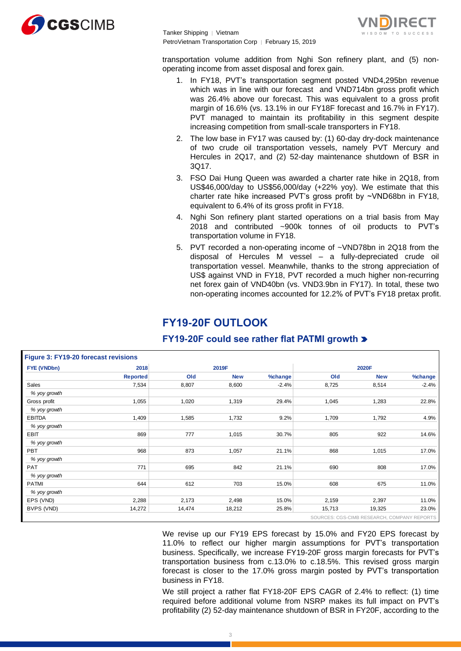

Tanker Shipping │ Vietnam PetroVietnam Transportation Corp | February 15, 2019



transportation volume addition from Nghi Son refinery plant, and (5) nonoperating income from asset disposal and forex gain.

- 1. In FY18, PVT's transportation segment posted VND4,295bn revenue which was in line with our forecast and VND714bn gross profit which was 26.4% above our forecast. This was equivalent to a gross profit margin of 16.6% (vs. 13.1% in our FY18F forecast and 16.7% in FY17). PVT managed to maintain its profitability in this segment despite increasing competition from small-scale transporters in FY18.
- 2. The low base in FY17 was caused by: (1) 60-day dry-dock maintenance of two crude oil transportation vessels, namely PVT Mercury and Hercules in 2Q17, and (2) 52-day maintenance shutdown of BSR in 3Q17.
- 3. FSO Dai Hung Queen was awarded a charter rate hike in 2Q18, from US\$46,000/day to US\$56,000/day (+22% yoy). We estimate that this charter rate hike increased PVT's gross profit by ~VND68bn in FY18, equivalent to 6.4% of its gross profit in FY18.
- 4. Nghi Son refinery plant started operations on a trial basis from May 2018 and contributed ~900k tonnes of oil products to PVT's transportation volume in FY18.
- 5. PVT recorded a non-operating income of ~VND78bn in 2Q18 from the disposal of Hercules M vessel – a fully-depreciated crude oil transportation vessel. Meanwhile, thanks to the strong appreciation of US\$ against VND in FY18, PVT recorded a much higher non-recurring net forex gain of VND40bn (vs. VND3.9bn in FY17). In total, these two non-operating incomes accounted for 12.2% of PVT's FY18 pretax profit.

# **FY19-20F OUTLOOK**

| FYE (VNDbn)   | 2018            |        | 2019F      |         | 2020F  |            |         |  |
|---------------|-----------------|--------|------------|---------|--------|------------|---------|--|
|               | <b>Reported</b> | Old    | <b>New</b> | %change | Old    | <b>New</b> | %change |  |
| <b>Sales</b>  | 7,534           | 8,807  | 8,600      | $-2.4%$ | 8,725  | 8,514      | $-2.4%$ |  |
| % yoy growth  |                 |        |            |         |        |            |         |  |
| Gross profit  | 1,055           | 1,020  | 1,319      | 29.4%   | 1,045  | 1,283      | 22.8%   |  |
| % yoy growth  |                 |        |            |         |        |            |         |  |
| <b>EBITDA</b> | 1,409           | 1,585  | 1,732      | 9.2%    | 1,709  | 1,792      | 4.9%    |  |
| % yoy growth  |                 |        |            |         |        |            |         |  |
| <b>EBIT</b>   | 869             | 777    | 1,015      | 30.7%   | 805    | 922        | 14.6%   |  |
| % yoy growth  |                 |        |            |         |        |            |         |  |
| PBT           | 968             | 873    | 1,057      | 21.1%   | 868    | 1,015      | 17.0%   |  |
| % yoy growth  |                 |        |            |         |        |            |         |  |
| <b>PAT</b>    | 771             | 695    | 842        | 21.1%   | 690    | 808        | 17.0%   |  |
| % yoy growth  |                 |        |            |         |        |            |         |  |
| <b>PATMI</b>  | 644             | 612    | 703        | 15.0%   | 608    | 675        | 11.0%   |  |
| % yoy growth  |                 |        |            |         |        |            |         |  |
| EPS (VND)     | 2,288           | 2,173  | 2,498      | 15.0%   | 2,159  | 2,397      | 11.0%   |  |
| BVPS (VND)    | 14,272          | 14,474 | 18,212     | 25.8%   | 15,713 | 19,325     | 23.0%   |  |

## **FY19-20F could see rather flat PATMI growth**

We revise up our FY19 EPS forecast by 15.0% and FY20 EPS forecast by 11.0% to reflect our higher margin assumptions for PVT's transportation business. Specifically, we increase FY19-20F gross margin forecasts for PVT's transportation business from c.13.0% to c.18.5%. This revised gross margin forecast is closer to the 17.0% gross margin posted by PVT's transportation business in FY18.

We still project a rather flat FY18-20F EPS CAGR of 2.4% to reflect: (1) time required before additional volume from NSRP makes its full impact on PVT's profitability (2) 52-day maintenance shutdown of BSR in FY20F, according to the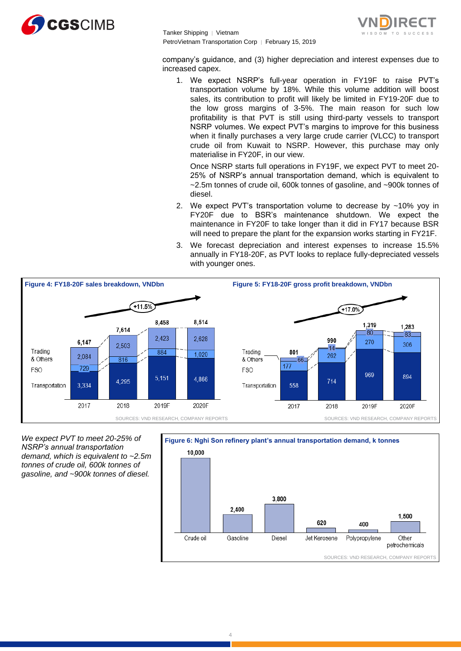

Tanker Shipping │ Vietnam PetroVietnam Transportation Corp | February 15, 2019



company's guidance, and (3) higher depreciation and interest expenses due to increased capex.

1. We expect NSRP's full-year operation in FY19F to raise PVT's transportation volume by 18%. While this volume addition will boost sales, its contribution to profit will likely be limited in FY19-20F due to the low gross margins of 3-5%. The main reason for such low profitability is that PVT is still using third-party vessels to transport NSRP volumes. We expect PVT's margins to improve for this business when it finally purchases a very large crude carrier (VLCC) to transport crude oil from Kuwait to NSRP. However, this purchase may only materialise in FY20F, in our view.

Once NSRP starts full operations in FY19F, we expect PVT to meet 20- 25% of NSRP's annual transportation demand, which is equivalent to ~2.5m tonnes of crude oil, 600k tonnes of gasoline, and ~900k tonnes of diesel.

- 2. We expect PVT's transportation volume to decrease by  $\sim$ 10% yoy in FY20F due to BSR's maintenance shutdown. We expect the maintenance in FY20F to take longer than it did in FY17 because BSR will need to prepare the plant for the expansion works starting in FY21F.
- 3. We forecast depreciation and interest expenses to increase 15.5% annually in FY18-20F, as PVT looks to replace fully-depreciated vessels with younger ones.



*We expect PVT to meet 20-25% of NSRP's annual transportation demand, which is equivalent to ~2.5m tonnes of crude oil, 600k tonnes of gasoline, and ~900k tonnes of diesel.* 

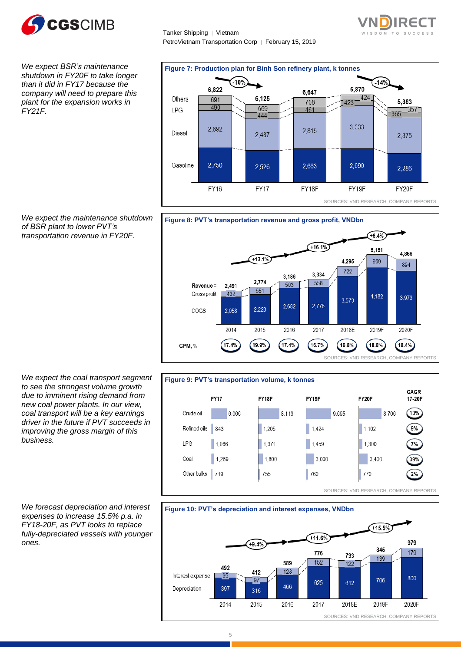

*We expect BSR's maintenance shutdown in FY20F to take longer than it did in FY17 because the company will need to prepare this plant for the expansion works in FY21F.* 

*We expect the maintenance shutdown of BSR plant to lower PVT's transportation revenue in FY20F.* 

Tanker Shipping │ Vietnam PetroVietnam Transportation Corp | February 15, 2019









*We expect the coal transport segment to see the strongest volume growth due to imminent rising demand from new coal power plants. In our view, coal transport will be a key earnings driver in the future if PVT succeeds in improving the gross margin of this business.*

*We forecast depreciation and interest expenses to increase 15.5% p.a. in FY18-20F, as PVT looks to replace fully-depreciated vessels with younger ones.*

#### 5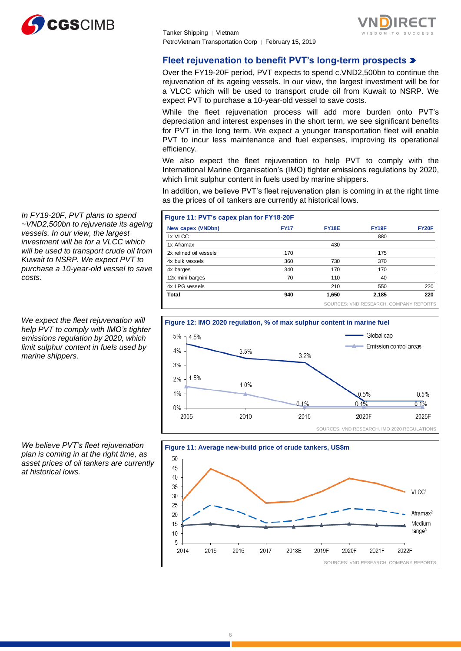



## **Fleet rejuvenation to benefit PVT's long-term prospects**

Over the FY19-20F period, PVT expects to spend c.VND2,500bn to continue the rejuvenation of its ageing vessels. In our view, the largest investment will be for a VLCC which will be used to transport crude oil from Kuwait to NSRP. We expect PVT to purchase a 10-year-old vessel to save costs.

While the fleet rejuvenation process will add more burden onto PVT's depreciation and interest expenses in the short term, we see significant benefits for PVT in the long term. We expect a younger transportation fleet will enable PVT to incur less maintenance and fuel expenses, improving its operational efficiency.

We also expect the fleet rejuvenation to help PVT to comply with the International Marine Organisation's (IMO) tighter emissions regulations by 2020, which limit sulphur content in fuels used by marine shippers.

In addition, we believe PVT's fleet rejuvenation plan is coming in at the right time as the prices of oil tankers are currently at historical lows.

| New capex (VNDbn)      | <b>FY17</b> | <b>FY18E</b> | FY <sub>19</sub> F                     | <b>FY20F</b> |
|------------------------|-------------|--------------|----------------------------------------|--------------|
| 1x VLCC                |             |              | 880                                    |              |
| 1x Aframax             |             | 430          |                                        |              |
| 2x refined oil vessels | 170         |              | 175                                    |              |
| 4x bulk vessels        | 360         | 730          | 370                                    |              |
| 4x barges              | 340         | 170          | 170                                    |              |
| 12x mini barges        | 70          | 110          | 40                                     |              |
| 4x LPG vessels         |             | 210          | 550                                    | 220          |
| Total                  | 940         | 1,650        | 2,185                                  | 220          |
|                        |             |              | SOURCES: VND RESEARCH, COMPANY REPORTS |              |





*In FY19-20F, PVT plans to spend ~VND2,500bn to rejuvenate its ageing vessels. In our view, the largest investment will be for a VLCC which will be used to transport crude oil from Kuwait to NSRP. We expect PVT to purchase a 10-year-old vessel to save costs.*

*We expect the fleet rejuvenation will help PVT to comply with IMO's tighter emissions regulation by 2020, which limit sulphur content in fuels used by marine shippers.*

*We believe PVT's fleet rejuvenation plan is coming in at the right time, as asset prices of oil tankers are currently at historical lows.*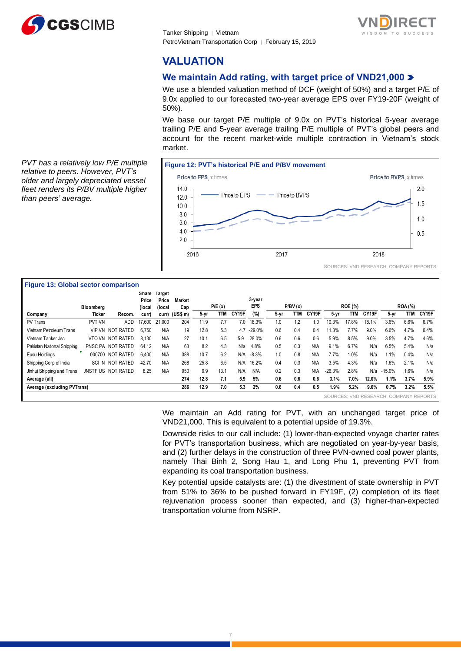

Tanker Shipping │ Vietnam PetroVietnam Transportation Corp | February 15, 2019



# **VALUATION**

## **We maintain Add rating, with target price of VND21,000**

We use a blended valuation method of DCF (weight of 50%) and a target P/E of 9.0x applied to our forecasted two-year average EPS over FY19-20F (weight of 50%).

We base our target P/E multiple of 9.0x on PVT's historical 5-year average trailing P/E and 5-year average trailing P/E multiple of PVT's global peers and account for the recent market-wide multiple contraction in Vietnam's stock market.

**Figure 12: PVT's historical P/E and P/BV movement** Price to EPS, x times Price to BVPS, x times  $14.0$  $20$ Price to EPS - Price to BVPS 12.0  $1.5$  $10.0$  $8.0$  $1.0$  $6.0$  $4.0$  $0.5$  $2.0$ 2017 2016 2018 SOURCES: VND RESEARCH, COMPANY REPORTS

#### *PVT has a relatively low P/E multiple relative to peers. However, PVT's older and largely depreciated vessel fleet renders its P/BV multiple higher than peers' average.*

#### **Figure 13: Global sector comparison**

|                             |               |                    | Share<br>Price | Target<br>Price | <b>Market</b>  |      |        |       | 3-year     |      |         |       |          |                |       |                                        |                |       |
|-----------------------------|---------------|--------------------|----------------|-----------------|----------------|------|--------|-------|------------|------|---------|-------|----------|----------------|-------|----------------------------------------|----------------|-------|
|                             | Bloomberg     |                    | (local         | (local          | Cap            |      | P/E(x) |       | <b>EPS</b> |      | P/BV(x) |       |          | <b>ROE (%)</b> |       |                                        | <b>ROA (%)</b> |       |
| Company                     | Ticker        | Recom.             | curr)          |                 | curr) (US\$ m) | 5-yr | TTM    | CY19F | (%)        | 5-yr | TTM     | CY19F | $5 - yr$ | <b>TTM</b>     | CY19F | 5-yr                                   | <b>TTM</b>     | CY19F |
| PV Trans                    | PVT VN        | <b>ADD</b>         | 17.600         | 21.000          | 204            | 11.9 | 7.7    | 7.0   | 18.3%      | 1.0  | 1.2     | 1.0   | 10.3%    | 17.8%          | 18.1% | 3.6%                                   | 6.6%           | 6.7%  |
| Vietnam Petroleum Trans     | <b>VIP VN</b> | NOT RATED          | 6.750          | N/A             | 19             | 12.8 | 5.3    | 4.7   | $-29.0%$   | 0.6  | 0.4     | 0.4   | 11.3%    | 7.7%           | 9.0%  | 6.6%                                   | 4.7%           | 6.4%  |
| Vietnam Tanker Jsc          |               | VTO VN NOT RATED   | 8.130          | N/A             | 27             | 10.1 | 6.5    | 5.9   | 28.0%      | 0.6  | 0.6     | 0.6   | 5.9%     | 8.5%           | 9.0%  | 3.5%                                   | 4.7%           | 4.6%  |
| Pakistan National Shipping  |               | PNSC PA NOT RATED  | 64.12          | N/A             | 63             | 8.2  | 4.3    | N/a   | 4.8%       | 0.5  | 0.3     | N/A   | 9.1%     | 6.7%           | N/a   | 6.5%                                   | 5.4%           | N/a   |
| Eusu Holdinas               | 000700        | <b>NOT RATED</b>   | 6.400          | N/A             | 388            | 10.7 | 6.2    | N/A   | $-8.3%$    | 1.0  | 0.8     | N/A   | 7.7%     | 1.0%           | N/a   | 1.1%                                   | 0.4%           | N/a   |
| Shipping Corp of India      | SCI IN        | <b>NOT RATED</b>   | 42.70          | N/A             | 268            | 25.8 | 6.5    | N/A   | 16.2%      | 0.4  | 0.3     | N/A   | 3.5%     | 4.3%           | N/a   | 1.6%                                   | 2.1%           | N/a   |
| Jinhui Shipping and Trans   |               | JNSTF US NOT RATED | 8.25           | N/A             | 950            | 9.9  | 13.1   | N/A   | N/A        | 0.2  | 0.3     | N/A   | $-26.3%$ | 2.8%           | N/a   | $-15.0%$                               | 1.6%           | N/a   |
| Average (all)               |               |                    |                |                 | 274            | 12.8 | 7.1    | 5.9   | 5%         | 0.6  | 0.6     | 0.6   | 3.1%     | 7.0%           | 12.0% | 1.1%                                   | 3.7%           | 5.9%  |
| Average (excluding PVTrans) |               |                    |                |                 | 286            | 12.9 | 7.0    | 5.3   | 2%         | 0.6  | 0.4     | 0.5   | 1.9%     | 5.2%           | 9.0%  | 0.7%                                   | 3.2%           | 5.5%  |
|                             |               |                    |                |                 |                |      |        |       |            |      |         |       |          |                |       | SOURCES: VND RESEARCH, COMPANY REPORTS |                |       |

We maintain an Add rating for PVT, with an unchanged target price of VND21,000. This is equivalent to a potential upside of 19.3%.

Downside risks to our call include: (1) lower-than-expected voyage charter rates for PVT's transportation business, which are negotiated on year-by-year basis, and (2) further delays in the construction of three PVN-owned coal power plants, namely Thai Binh 2, Song Hau 1, and Long Phu 1, preventing PVT from expanding its coal transportation business.

Key potential upside catalysts are: (1) the divestment of state ownership in PVT from 51% to 36% to be pushed forward in FY19F, (2) completion of its fleet rejuvenation process sooner than expected, and (3) higher-than-expected transportation volume from NSRP.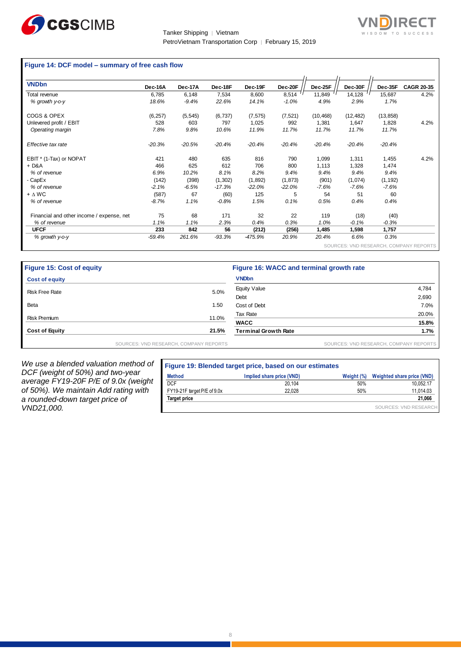

Tanker Shipping │ Vietnam PetroVietnam Transportation Corp | February 15, 2019



#### **Figure 14: DCF model – summary of free cash flow**

| <b>VNDbn</b>                              | Dec-16A  | Dec-17A  | Dec-18F  | Dec-19F   | Dec-20F  | Dec-25F   | Dec-30F   | Dec-35F   | <b>CAGR 20-35</b>                      |
|-------------------------------------------|----------|----------|----------|-----------|----------|-----------|-----------|-----------|----------------------------------------|
| Total revenue                             | 6,785    | 6,148    | 7,534    | 8,600     | 8,514    | 11,849    | 14,128    | 15,687    | 4.2%                                   |
| % growth y-o-y                            | 18.6%    | $-9.4%$  | 22.6%    | 14.1%     | $-1.0%$  | 4.9%      | 2.9%      | 1.7%      |                                        |
| COGS & OPEX                               | (6, 257) | (5, 545) | (6, 737) | (7, 575)  | (7, 521) | (10, 468) | (12, 482) | (13, 858) |                                        |
| Unlevered profit / EBIT                   | 528      | 603      | 797      | 1,025     | 992      | 1,381     | 1,647     | 1,828     | 4.2%                                   |
| Operating margin                          | 7.8%     | 9.8%     | 10.6%    | 11.9%     | 11.7%    | 11.7%     | 11.7%     | 11.7%     |                                        |
| Effective tax rate                        | $-20.3%$ | $-20.5%$ | $-20.4%$ | $-20.4%$  | $-20.4%$ | $-20.4%$  | $-20.4%$  | $-20.4%$  |                                        |
| EBIT * (1-Tax) or NOPAT                   | 421      | 480      | 635      | 816       | 790      | 1,099     | 1,311     | 1,455     | 4.2%                                   |
| + D&A                                     | 466      | 625      | 612      | 706       | 800      | 1,113     | 1,328     | 1,474     |                                        |
| % of revenue                              | 6.9%     | 10.2%    | 8.1%     | 8.2%      | 9.4%     | 9.4%      | 9.4%      | 9.4%      |                                        |
| - CapEx                                   | (142)    | (398)    | (1, 302) | (1,892)   | (1, 873) | (901)     | (1,074)   | (1, 192)  |                                        |
| % of revenue                              | $-2.1%$  | -6.5%    | $-17.3%$ | -22.0%    | $-22.0%$ | -7.6%     | $-7.6%$   | $-7.6%$   |                                        |
| $+ \Delta W C$                            | (587)    | 67       | (60)     | 125       | 5        | 54        | 51        | 60        |                                        |
| % of revenue                              | $-8.7%$  | 1.1%     | $-0.8%$  | 1.5%      | 0.1%     | 0.5%      | 0.4%      | 0.4%      |                                        |
| Financial and other income / expense, net | 75       | 68       | 171      | 32        | 22       | 119       | (18)      | (40)      |                                        |
| % of revenue                              | 1.1%     | 1.1%     | 2.3%     | 0.4%      | 0.3%     | 1.0%      | $-0.1%$   | $-0.3%$   |                                        |
| <b>UFCF</b>                               | 233      | 842      | 56       | (212)     | (256)    | 1,485     | 1,598     | 1,757     |                                        |
| % growth y-o-y                            | $-59.4%$ | 261.6%   | $-93.3%$ | $-475.9%$ | 20.9%    | 20.4%     | 6.6%      | 0.3%      |                                        |
|                                           |          |          |          |           |          |           |           |           | SOURCES: VND RESEARCH, COMPANY REPORTS |

| <b>Figure 15: Cost of equity</b> |                                        | Figure 16: WACC and terminal growth rate |                                        |  |  |  |
|----------------------------------|----------------------------------------|------------------------------------------|----------------------------------------|--|--|--|
| <b>Cost of equity</b>            |                                        | <b>VNDbn</b>                             |                                        |  |  |  |
| <b>Risk Free Rate</b>            | 5.0%                                   | <b>Equity Value</b>                      | 4,784                                  |  |  |  |
|                                  |                                        | Debt                                     | 2,690                                  |  |  |  |
| Beta                             | i.50                                   | Cost of Debt                             | 7.0%                                   |  |  |  |
| <b>Risk Premium</b>              | 11.0%                                  | Tax Rate                                 | 20.0%                                  |  |  |  |
|                                  |                                        | <b>WACC</b>                              | 15.8%                                  |  |  |  |
| <b>Cost of Equity</b>            | 21.5%                                  | <b>Terminal Growth Rate</b>              | 1.7%                                   |  |  |  |
|                                  | SOURCES: VND RESEARCH, COMPANY REPORTS |                                          | SOURCES: VND RESEARCH, COMPANY REPORTS |  |  |  |

*We use a blended valuation method of DCF (weight of 50%) and two-year average FY19-20F P/E of 9.0x (weight of 50%). We maintain Add rating with a rounded-down target price of VND21,000.*

| Figure 19: Blended target price, based on our estimates |                           |            |                            |  |  |  |  |  |  |  |
|---------------------------------------------------------|---------------------------|------------|----------------------------|--|--|--|--|--|--|--|
| <b>Method</b>                                           | Implied share price (VND) | Weight (%) | Weighted share price (VND) |  |  |  |  |  |  |  |
| <b>DCF</b>                                              | 20.104                    | 50%        | 10.052.17                  |  |  |  |  |  |  |  |
| FY19-21F target P/E of 9.0x                             | 22.028                    | 50%        | 11,014.03                  |  |  |  |  |  |  |  |
| <b>Target price</b>                                     |                           |            | 21,066                     |  |  |  |  |  |  |  |
|                                                         |                           |            | SOURCES: VND RESEARCH      |  |  |  |  |  |  |  |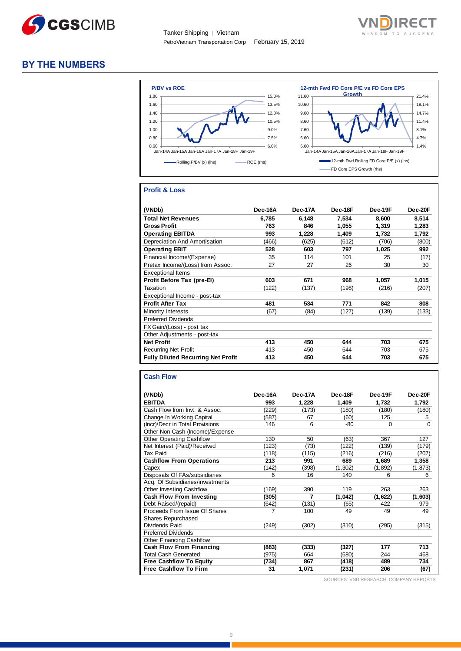

Tanker Shipping │ Vietnam PetroVietnam Transportation Corp │ February 15, 2019



## **BY THE NUMBERS**



#### **Profit & Loss**

| (VNDb)                                    | Dec-16A | Dec-17A | Dec-18F | Dec-19F | Dec-20F |
|-------------------------------------------|---------|---------|---------|---------|---------|
| <b>Total Net Revenues</b>                 | 6.785   | 6.148   | 7.534   | 8.600   | 8.514   |
| <b>Gross Profit</b>                       | 763     | 846     | 1,055   | 1,319   | 1,283   |
| <b>Operating EBITDA</b>                   | 993     | 1,228   | 1,409   | 1,732   | 1,792   |
| Depreciation And Amortisation             | (466)   | (625)   | (612)   | (706)   | (800)   |
| <b>Operating EBIT</b>                     | 528     | 603     | 797     | 1,025   | 992     |
| Financial Income/(Expense)                | 35      | 114     | 101     | 25      | (17)    |
| Pretax Income/(Loss) from Assoc.          | 27      | 27      | 26      | 30      | 30      |
| <b>Exceptional Items</b>                  |         |         |         |         |         |
| Profit Before Tax (pre-El)                | 603     | 671     | 968     | 1.057   | 1,015   |
| Taxation                                  | (122)   | (137)   | (198)   | (216)   | (207)   |
| Exceptional Income - post-tax             |         |         |         |         |         |
| <b>Profit After Tax</b>                   | 481     | 534     | 771     | 842     | 808     |
| Minority Interests                        | (67)    | (84)    | (127)   | (139)   | (133)   |
| <b>Preferred Dividends</b>                |         |         |         |         |         |
| FX Gain/(Loss) - post tax                 |         |         |         |         |         |
| Other Adjustments - post-tax              |         |         |         |         |         |
| <b>Net Profit</b>                         | 413     | 450     | 644     | 703     | 675     |
| <b>Recurring Net Profit</b>               | 413     | 450     | 644     | 703     | 675     |
| <b>Fully Diluted Recurring Net Profit</b> | 413     | 450     | 644     | 703     | 675     |

#### **Cash Flow**

| (VNDb)                           | Dec-16A | Dec-17A | Dec-18F | Dec-19F | Dec-20F  |
|----------------------------------|---------|---------|---------|---------|----------|
| <b>EBITDA</b>                    | 993     | 1,228   | 1,409   | 1,732   | 1,792    |
| Cash Flow from Invt. & Assoc.    | (229)   | (173)   | (180)   | (180)   | (180)    |
| Change In Working Capital        | (587)   | 67      | (60)    | 125     | 5        |
| (Incr)/Decr in Total Provisions  | 146     | 6       | -80     | 0       | $\Omega$ |
| Other Non-Cash (Income)/Expense  |         |         |         |         |          |
| <b>Other Operating Cashflow</b>  | 130     | 50      | (63)    | 367     | 127      |
| Net Interest (Paid)/Received     | (123)   | (73)    | (122)   | (139)   | (179)    |
| Tax Paid                         | (118)   | (115)   | (216)   | (216)   | (207)    |
| <b>Cashflow From Operations</b>  | 213     | 991     | 689     | 1,689   | 1,358    |
| Capex                            | (142)   | (398)   | (1,302) | (1,892) | (1, 873) |
| Disposals Of FAs/subsidiaries    | 6       | 16      | 140     | 6       | 6        |
| Acq. Of Subsidiaries/investments |         |         |         |         |          |
| Other Investing Cashflow         | (169)   | 390     | 119     | 263     | 263      |
| <b>Cash Flow From Investing</b>  | (305)   | 7       | (1,042) | (1,622) | (1,603)  |
| Debt Raised/(repaid)             | (642)   | (131)   | (65)    | 422     | 979      |
| Proceeds From Issue Of Shares    | 7       | 100     | 49      | 49      | 49       |
| <b>Shares Repurchased</b>        |         |         |         |         |          |
| Dividends Paid                   | (249)   | (302)   | (310)   | (295)   | (315)    |
| <b>Preferred Dividends</b>       |         |         |         |         |          |
| <b>Other Financing Cashflow</b>  |         |         |         |         |          |
| <b>Cash Flow From Financing</b>  | (883)   | (333)   | (327)   | 177     | 713      |
| <b>Total Cash Generated</b>      | (975)   | 664     | (680)   | 244     | 468      |
| <b>Free Cashflow To Equity</b>   | (734)   | 867     | (418)   | 489     | 734      |
| <b>Free Cashflow To Firm</b>     | 31      | 1,071   | (231)   | 206     | (67)     |

SOURCES: VND RESEARCH, COMPANY REPORTS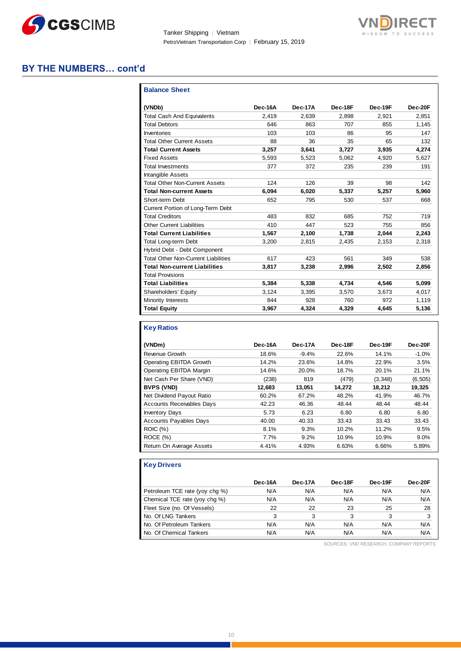

Tanker Shipping │ Vietnam PetroVietnam Transportation Corp │ February 15, 2019



## **BY THE NUMBERS… cont'd**

| <b>Balance Sheet</b>                       |         |         |         |         |         |
|--------------------------------------------|---------|---------|---------|---------|---------|
| (VNDb)                                     | Dec-16A | Dec-17A | Dec-18F | Dec-19F | Dec-20F |
| <b>Total Cash And Equivalents</b>          | 2.419   | 2.639   | 2,898   | 2.921   | 2.851   |
| <b>Total Debtors</b>                       | 646     | 863     | 707     | 855     | 1,145   |
| Inventories                                | 103     | 103     | 86      | 95      | 147     |
| <b>Total Other Current Assets</b>          | 88      | 36      | 35      | 65      | 132     |
| <b>Total Current Assets</b>                | 3,257   | 3,641   | 3,727   | 3,935   | 4,274   |
| <b>Fixed Assets</b>                        | 5,593   | 5,523   | 5,062   | 4,920   | 5,627   |
| <b>Total Investments</b>                   | 377     | 372     | 235     | 239     | 191     |
| <b>Intangible Assets</b>                   |         |         |         |         |         |
| <b>Total Other Non-Current Assets</b>      | 124     | 126     | 39      | 98      | 142     |
| <b>Total Non-current Assets</b>            | 6,094   | 6,020   | 5,337   | 5,257   | 5,960   |
| Short-term Debt                            | 652     | 795     | 530     | 537     | 668     |
| Current Portion of Long-Term Debt          |         |         |         |         |         |
| <b>Total Creditors</b>                     | 483     | 832     | 685     | 752     | 719     |
| <b>Other Current Liabilities</b>           | 410     | 447     | 523     | 755     | 856     |
| <b>Total Current Liabilities</b>           | 1,567   | 2,100   | 1.738   | 2.044   | 2,243   |
| <b>Total Long-term Debt</b>                | 3,200   | 2,815   | 2,435   | 2,153   | 2,318   |
| Hybrid Debt - Debt Component               |         |         |         |         |         |
| <b>Total Other Non-Current Liabilities</b> | 617     | 423     | 561     | 349     | 538     |
| <b>Total Non-current Liabilities</b>       | 3,817   | 3,238   | 2,996   | 2,502   | 2,856   |
| <b>Total Provisions</b>                    |         |         |         |         |         |
| <b>Total Liabilities</b>                   | 5,384   | 5,338   | 4,734   | 4,546   | 5,099   |
| Shareholders' Equity                       | 3,124   | 3,395   | 3,570   | 3,673   | 4,017   |
| Minority Interests                         | 844     | 928     | 760     | 972     | 1,119   |
| <b>Total Equity</b>                        | 3,967   | 4,324   | 4,329   | 4.645   | 5,136   |

## **Key Ratios**

| (VNDm)                           | Dec-16A | Dec-17A | Dec-18F | Dec-19F | Dec-20F  |
|----------------------------------|---------|---------|---------|---------|----------|
| Revenue Growth                   | 18.6%   | $-9.4%$ | 22.6%   | 14.1%   | $-1.0%$  |
| Operating EBITDA Growth          | 14.2%   | 23.6%   | 14.8%   | 22.9%   | 3.5%     |
| <b>Operating EBITDA Margin</b>   | 14.6%   | 20.0%   | 18.7%   | 20.1%   | 21.1%    |
| Net Cash Per Share (VND)         | (238)   | 819     | (479)   | (3,348) | (6, 505) |
| <b>BVPS (VND)</b>                | 12.683  | 13.051  | 14.272  | 18,212  | 19,325   |
| Net Dividend Payout Ratio        | 60.2%   | 67.2%   | 48.2%   | 41.9%   | 46.7%    |
| <b>Accounts Receivables Days</b> | 42.23   | 46.36   | 48.44   | 48.44   | 48.44    |
| <b>Inventory Days</b>            | 5.73    | 6.23    | 6.80    | 6.80    | 6.80     |
| <b>Accounts Payables Days</b>    | 40.00   | 40.33   | 33.43   | 33.43   | 33.43    |
| <b>ROIC (%)</b>                  | 8.1%    | 9.3%    | 10.2%   | 11.2%   | 9.5%     |
| ROCE (%)                         | 7.7%    | 9.2%    | 10.9%   | 10.9%   | $9.0\%$  |
| Return On Average Assets         | 4.41%   | 4.93%   | 6.63%   | 6.66%   | 5.89%    |

#### **Key Drivers**

|                                | Dec-16A | Dec-17A | Dec-18F | Dec-19F | Dec-20F |
|--------------------------------|---------|---------|---------|---------|---------|
| Petroleum TCE rate (yoy chg %) | N/A     | N/A     | N/A     | N/A     | N/A     |
| Chemical TCE rate (yoy chg %)  | N/A     | N/A     | N/A     | N/A     | N/A     |
| Fleet Size (no. Of Vessels)    | 22      | 22      | 23      | 25      | 28      |
| No. Of LNG Tankers             | 3       | 3       |         | 3       |         |
| No. Of Petroleum Tankers       | N/A     | N/A     | N/A     | N/A     | N/A     |
| No. Of Chemical Tankers        | N/A     | N/A     | N/A     | N/A     | N/A     |

SOURCES: VND RESEARCH, COMPANY REPORTS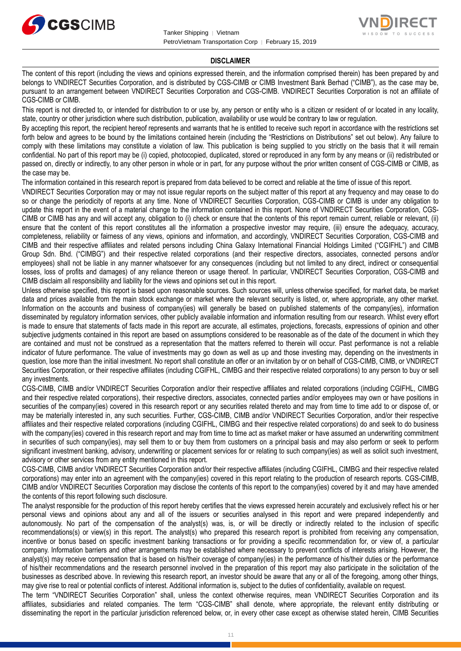



#### **DISCLAIMER**

The content of this report (including the views and opinions expressed therein, and the information comprised therein) has been prepared by and belongs to VNDIRECT Securities Corporation, and is distributed by CGS-CIMB or CIMB Investment Bank Berhad ("CIMB"), as the case may be, pursuant to an arrangement between VNDIRECT Securities Corporation and CGS-CIMB. VNDIRECT Securities Corporation is not an affiliate of CGS-CIMB or CIMB.

This report is not directed to, or intended for distribution to or use by, any person or entity who is a citizen or resident of or located in any locality, state, country or other jurisdiction where such distribution, publication, availability or use would be contrary to law or regulation.

By accepting this report, the recipient hereof represents and warrants that he is entitled to receive such report in accordance with the restrictions set forth below and agrees to be bound by the limitations contained herein (including the "Restrictions on Distributions" set out below). Any failure to comply with these limitations may constitute a violation of law. This publication is being supplied to you strictly on the basis that it will remain confidential. No part of this report may be (i) copied, photocopied, duplicated, stored or reproduced in any form by any means or (ii) redistributed or passed on, directly or indirectly, to any other person in whole or in part, for any purpose without the prior written consent of CGS-CIMB or CIMB, as the case may be.

The information contained in this research report is prepared from data believed to be correct and reliable at the time of issue of this report.

VNDIRECT Securities Corporation may or may not issue regular reports on the subject matter of this report at any frequency and may cease to do so or change the periodicity of reports at any time. None of VNDIRECT Securities Corporation, CGS-CIMB or CIMB is under any obligation to update this report in the event of a material change to the information contained in this report. None of VNDIRECT Securities Corporation, CGS-CIMB or CIMB has any and will accept any, obligation to (i) check or ensure that the contents of this report remain current, reliable or relevant, (ii) ensure that the content of this report constitutes all the information a prospective investor may require, (iii) ensure the adequacy, accuracy, completeness, reliability or fairness of any views, opinions and information, and accordingly, VNDIRECT Securities Corporation, CGS-CIMB and CIMB and their respective affiliates and related persons including China Galaxy International Financial Holdings Limited ("CGIFHL") and CIMB Group Sdn. Bhd. ("CIMBG") and their respective related corporations (and their respective directors, associates, connected persons and/or employees) shall not be liable in any manner whatsoever for any consequences (including but not limited to any direct, indirect or consequential losses, loss of profits and damages) of any reliance thereon or usage thereof. In particular, VNDIRECT Securities Corporation, CGS-CIMB and CIMB disclaim all responsibility and liability for the views and opinions set out in this report.

Unless otherwise specified, this report is based upon reasonable sources. Such sources will, unless otherwise specified, for market data, be market data and prices available from the main stock exchange or market where the relevant security is listed, or, where appropriate, any other market. Information on the accounts and business of company(ies) will generally be based on published statements of the company(ies), information disseminated by regulatory information services, other publicly available information and information resulting from our research. Whilst every effort is made to ensure that statements of facts made in this report are accurate, all estimates, projections, forecasts, expressions of opinion and other subjective judgments contained in this report are based on assumptions considered to be reasonable as of the date of the document in which they are contained and must not be construed as a representation that the matters referred to therein will occur. Past performance is not a reliable indicator of future performance. The value of investments may go down as well as up and those investing may, depending on the investments in question, lose more than the initial investment. No report shall constitute an offer or an invitation by or on behalf of CGS-CIMB, CIMB, or VNDIRECT Securities Corporation, or their respective affiliates (including CGIFHL, CIMBG and their respective related corporations) to any person to buy or sell any investments.

CGS-CIMB, CIMB and/or VNDIRECT Securities Corporation and/or their respective affiliates and related corporations (including CGIFHL, CIMBG and their respective related corporations), their respective directors, associates, connected parties and/or employees may own or have positions in securities of the company(ies) covered in this research report or any securities related thereto and may from time to time add to or dispose of, or may be materially interested in, any such securities. Further, CGS-CIMB, CIMB and/or VNDIRECT Securities Corporation, and/or their respective affiliates and their respective related corporations (including CGIFHL, CIMBG and their respective related corporations) do and seek to do business with the company(ies) covered in this research report and may from time to time act as market maker or have assumed an underwriting commitment in securities of such company(ies), may sell them to or buy them from customers on a principal basis and may also perform or seek to perform significant investment banking, advisory, underwriting or placement services for or relating to such company(ies) as well as solicit such investment, advisory or other services from any entity mentioned in this report.

CGS-CIMB, CIMB and/or VNDIRECT Securities Corporation and/or their respective affiliates (including CGIFHL, CIMBG and their respective related corporations) may enter into an agreement with the company(ies) covered in this report relating to the production of research reports. CGS-CIMB, CIMB and/or VNDIRECT Securities Corporation may disclose the contents of this report to the company(ies) covered by it and may have amended the contents of this report following such disclosure.

The analyst responsible for the production of this report hereby certifies that the views expressed herein accurately and exclusively reflect his or her personal views and opinions about any and all of the issuers or securities analysed in this report and were prepared independently and autonomously. No part of the compensation of the analyst(s) was, is, or will be directly or indirectly related to the inclusion of specific recommendations(s) or view(s) in this report. The analyst(s) who prepared this research report is prohibited from receiving any compensation, incentive or bonus based on specific investment banking transactions or for providing a specific recommendation for, or view of, a particular company. Information barriers and other arrangements may be established where necessary to prevent conflicts of interests arising. However, the analyst(s) may receive compensation that is based on his/their coverage of company(ies) in the performance of his/their duties or the performance of his/their recommendations and the research personnel involved in the preparation of this report may also participate in the solicitation of the businesses as described above. In reviewing this research report, an investor should be aware that any or all of the foregoing, among other things, may give rise to real or potential conflicts of interest. Additional information is, subject to the duties of confidentiality, available on request.

The term "VNDIRECT Securities Corporation" shall, unless the context otherwise requires, mean VNDIRECT Securities Corporation and its affiliates, subsidiaries and related companies. The term "CGS-CIMB" shall denote, where appropriate, the relevant entity distributing or disseminating the report in the particular jurisdiction referenced below, or, in every other case except as otherwise stated herein, CIMB Securities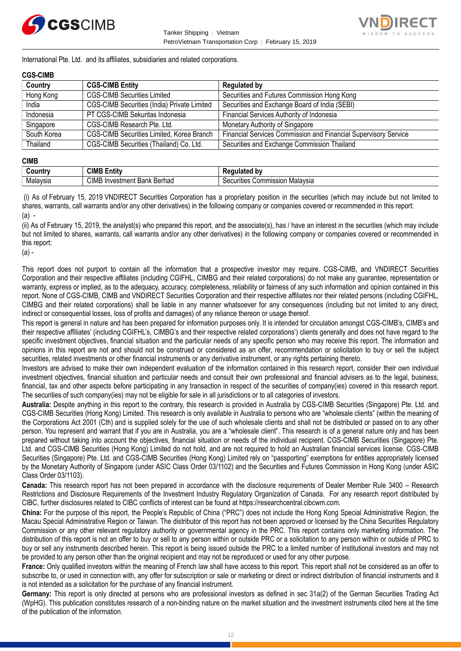



International Pte. Ltd. and its affiliates, subsidiaries and related corporations.

#### **CGS-CIMB**

| Country     | <b>CGS-CIMB Entity</b>                      | <b>Regulated by</b>                                                    |
|-------------|---------------------------------------------|------------------------------------------------------------------------|
| Hong Kong   | <b>CGS-CIMB Securities Limited</b>          | Securities and Futures Commission Hong Kong                            |
| India       | CGS-CIMB Securities (India) Private Limited | Securities and Exchange Board of India (SEBI)                          |
| Indonesia   | PT CGS-CIMB Sekuritas Indonesia             | Financial Services Authority of Indonesia                              |
| Singapore   | CGS-CIMB Research Pte. Ltd.                 | Monetary Authority of Singapore                                        |
| South Korea | CGS-CIMB Securities Limited, Korea Branch   | <b>Financial Services Commission and Financial Supervisory Service</b> |
| Thailand    | CGS-CIMB Securities (Thailand) Co. Ltd.     | Securities and Exchange Commission Thailand                            |

#### **CIMB**

| ∶ountr∖  | <b>CIMB F</b><br><br>Entity                   | hv<br>---                                                |
|----------|-----------------------------------------------|----------------------------------------------------------|
| Malaysia | <b>CIM</b><br><br>Berhad<br>nvestment<br>Bank | Malavsia<br><b>Suinmission</b><br>ecurities<br>$\cdot$ " |

(i) As of February 15, 2019 VNDIRECT Securities Corporation has a proprietary position in the securities (which may include but not limited to shares, warrants, call warrants and/or any other derivatives) in the following company or companies covered or recommended in this report: (a) -

(ii) As of February 15, 2019, the analyst(s) who prepared this report, and the associate(s), has / have an interest in the securities (which may include but not limited to shares, warrants, call warrants and/or any other derivatives) in the following company or companies covered or recommended in this report:

(a) -

This report does not purport to contain all the information that a prospective investor may require. CGS-CIMB, and VNDIRECT Securities Corporation and their respective affiliates (including CGIFHL, CIMBG and their related corporations) do not make any guarantee, representation or warranty, express or implied, as to the adequacy, accuracy, completeness, reliability or fairness of any such information and opinion contained in this report. None of CGS-CIMB, CIMB and VNDIRECT Securities Corporation and their respective affiliates nor their related persons (including CGIFHL, CIMBG and their related corporations) shall be liable in any manner whatsoever for any consequences (including but not limited to any direct, indirect or consequential losses, loss of profits and damages) of any reliance thereon or usage thereof.

This report is general in nature and has been prepared for information purposes only. It is intended for circulation amongst CGS-CIMB's, CIMB's and their respective affiliates' (including CGIFHL's, CIMBG's and their respective related corporations') clients generally and does not have regard to the specific investment objectives, financial situation and the particular needs of any specific person who may receive this report. The information and opinions in this report are not and should not be construed or considered as an offer, recommendation or solicitation to buy or sell the subject securities, related investments or other financial instruments or any derivative instrument, or any rights pertaining thereto.

Investors are advised to make their own independent evaluation of the information contained in this research report, consider their own individual investment objectives, financial situation and particular needs and consult their own professional and financial advisers as to the legal, business, financial, tax and other aspects before participating in any transaction in respect of the securities of company(ies) covered in this research report. The securities of such company(ies) may not be eligible for sale in all jurisdictions or to all categories of investors.

**Australia:** Despite anything in this report to the contrary, this research is provided in Australia by CGS-CIMB Securities (Singapore) Pte. Ltd. and CGS-CIMB Securities (Hong Kong) Limited. This research is only available in Australia to persons who are "wholesale clients" (within the meaning of the Corporations Act 2001 (Cth) and is supplied solely for the use of such wholesale clients and shall not be distributed or passed on to any other person. You represent and warrant that if you are in Australia, you are a "wholesale client". This research is of a general nature only and has been prepared without taking into account the objectives, financial situation or needs of the individual recipient. CGS-CIMB Securities (Singapore) Pte. Ltd. and CGS-CIMB Securities (Hong Kong) Limited do not hold, and are not required to hold an Australian financial services license. CGS-CIMB Securities (Singapore) Pte. Ltd. and CGS-CIMB Securities (Hong Kong) Limited rely on "passporting" exemptions for entities appropriately licensed by the Monetary Authority of Singapore (under ASIC Class Order 03/1102) and the Securities and Futures Commission in Hong Kong (under ASIC Class Order 03/1103).

**Canada:** This research report has not been prepared in accordance with the disclosure requirements of Dealer Member Rule 3400 – Research Restrictions and Disclosure Requirements of the Investment Industry Regulatory Organization of Canada. For any research report distributed by CIBC, further disclosures related to CIBC conflicts of interest can be found at https://researchcentral.cibcwm.com.

**China:** For the purpose of this report, the People's Republic of China ("PRC") does not include the Hong Kong Special Administrative Region, the Macau Special Administrative Region or Taiwan. The distributor of this report has not been approved or licensed by the China Securities Regulatory Commission or any other relevant regulatory authority or governmental agency in the PRC. This report contains only marketing information. The distribution of this report is not an offer to buy or sell to any person within or outside PRC or a solicitation to any person within or outside of PRC to buy or sell any instruments described herein. This report is being issued outside the PRC to a limited number of institutional investors and may not be provided to any person other than the original recipient and may not be reproduced or used for any other purpose.

**France:** Only qualified investors within the meaning of French law shall have access to this report. This report shall not be considered as an offer to subscribe to, or used in connection with, any offer for subscription or sale or marketing or direct or indirect distribution of financial instruments and it is not intended as a solicitation for the purchase of any financial instrument.

**Germany:** This report is only directed at persons who are professional investors as defined in sec 31a(2) of the German Securities Trading Act (WpHG). This publication constitutes research of a non-binding nature on the market situation and the investment instruments cited here at the time of the publication of the information.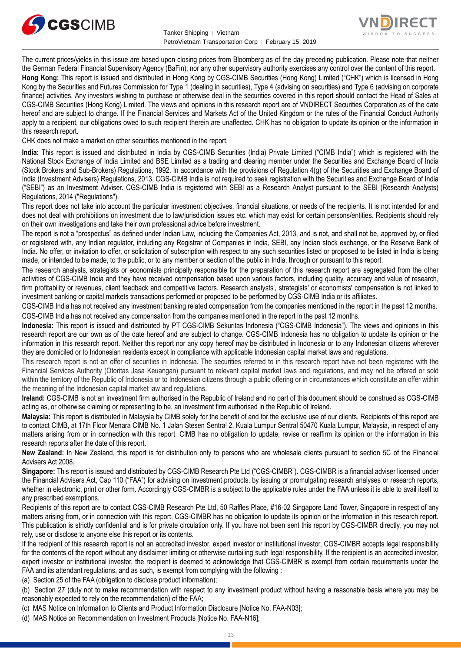



The current prices/yields in this issue are based upon closing prices from Bloomberg as of the day preceding publication. Please note that neither the German Federal Financial Supervisory Agency (BaFin), nor any other supervisory authority exercises any control over the content of this report.

**Hong Kong:** This report is issued and distributed in Hong Kong by CGS-CIMB Securities (Hong Kong) Limited ("CHK") which is licensed in Hong Kong by the Securities and Futures Commission for Type 1 (dealing in securities), Type 4 (advising on securities) and Type 6 (advising on corporate finance) activities. Any investors wishing to purchase or otherwise deal in the securities covered in this report should contact the Head of Sales at CGS-CIMB Securities (Hong Kong) Limited. The views and opinions in this research report are of VNDIRECT Securities Corporation as of the date hereof and are subject to change. If the Financial Services and Markets Act of the United Kingdom or the rules of the Financial Conduct Authority apply to a recipient, our obligations owed to such recipient therein are unaffected. CHK has no obligation to update its opinion or the information in this research report.

CHK does not make a market on other securities mentioned in the report.

**India:** This report is issued and distributed in India by CGS-CIMB Securities (India) Private Limited ("CIMB India") which is registered with the National Stock Exchange of India Limited and BSE Limited as a trading and clearing member under the Securities and Exchange Board of India (Stock Brokers and Sub-Brokers) Regulations, 1992. In accordance with the provisions of Regulation 4(g) of the Securities and Exchange Board of India (Investment Advisers) Regulations, 2013, CGS-CIMB India is not required to seek registration with the Securities and Exchange Board of India ("SEBI") as an Investment Adviser. CGS-CIMB India is registered with SEBI as a Research Analyst pursuant to the SEBI (Research Analysts) Regulations, 2014 ("Regulations").

This report does not take into account the particular investment objectives, financial situations, or needs of the recipients. It is not intended for and does not deal with prohibitions on investment due to law/jurisdiction issues etc. which may exist for certain persons/entities. Recipients should rely on their own investigations and take their own professional advice before investment.

The report is not a "prospectus" as defined under Indian Law, including the Companies Act, 2013, and is not, and shall not be, approved by, or filed or registered with, any Indian regulator, including any Registrar of Companies in India, SEBI, any Indian stock exchange, or the Reserve Bank of India. No offer, or invitation to offer, or solicitation of subscription with respect to any such securities listed or proposed to be listed in India is being made, or intended to be made, to the public, or to any member or section of the public in India, through or pursuant to this report.

The research analysts, strategists or economists principally responsible for the preparation of this research report are segregated from the other activities of CGS-CIMB India and they have received compensation based upon various factors, including quality, accuracy and value of research, firm profitability or revenues, client feedback and competitive factors. Research analysts', strategists' or economists' compensation is not linked to investment banking or capital markets transactions performed or proposed to be performed by CGS-CIMB India or its affiliates.

CGS-CIMB India has not received any investment banking related compensation from the companies mentioned in the report in the past 12 months. CGS-CIMB India has not received any compensation from the companies mentioned in the report in the past 12 months.

**Indonesia:** This report is issued and distributed by PT CGS-CIMB Sekuritas Indonesia ("CGS-CIMB Indonesia"). The views and opinions in this research report are our own as of the date hereof and are subject to change. CGS-CIMB Indonesia has no obligation to update its opinion or the information in this research report. Neither this report nor any copy hereof may be distributed in Indonesia or to any Indonesian citizens wherever they are domiciled or to Indonesian residents except in compliance with applicable Indonesian capital market laws and regulations.

This research report is not an offer of securities in Indonesia. The securities referred to in this research report have not been registered with the Financial Services Authority (Otoritas Jasa Keuangan) pursuant to relevant capital market laws and regulations, and may not be offered or sold within the territory of the Republic of Indonesia or to Indonesian citizens through a public offering or in circumstances which constitute an offer within the meaning of the Indonesian capital market law and regulations.

**Ireland:** CGS-CIMB is not an investment firm authorised in the Republic of Ireland and no part of this document should be construed as CGS-CIMB acting as, or otherwise claiming or representing to be, an investment firm authorised in the Republic of Ireland.

**Malaysia:** This report is distributed in Malaysia by CIMB solely for the benefit of and for the exclusive use of our clients. Recipients of this report are to contact CIMB, at 17th Floor Menara CIMB No. 1 Jalan Stesen Sentral 2, Kuala Lumpur Sentral 50470 Kuala Lumpur, Malaysia, in respect of any matters arising from or in connection with this report. CIMB has no obligation to update, revise or reaffirm its opinion or the information in this research reports after the date of this report.

**New Zealand:** In New Zealand, this report is for distribution only to persons who are wholesale clients pursuant to section 5C of the Financial Advisers Act 2008.

**Singapore:** This report is issued and distributed by CGS-CIMB Research Pte Ltd ("CGS-CIMBR"). CGS-CIMBR is a financial adviser licensed under the Financial Advisers Act, Cap 110 ("FAA") for advising on investment products, by issuing or promulgating research analyses or research reports, whether in electronic, print or other form. Accordingly CGS-CIMBR is a subject to the applicable rules under the FAA unless it is able to avail itself to any prescribed exemptions.

Recipients of this report are to contact CGS-CIMB Research Pte Ltd, 50 Raffles Place, #16-02 Singapore Land Tower, Singapore in respect of any matters arising from, or in connection with this report. CGS-CIMBR has no obligation to update its opinion or the information in this research report. This publication is strictly confidential and is for private circulation only. If you have not been sent this report by CGS-CIMBR directly, you may not rely, use or disclose to anyone else this report or its contents.

If the recipient of this research report is not an accredited investor, expert investor or institutional investor, CGS-CIMBR accepts legal responsibility for the contents of the report without any disclaimer limiting or otherwise curtailing such legal responsibility. If the recipient is an accredited investor, expert investor or institutional investor, the recipient is deemed to acknowledge that CGS-CIMBR is exempt from certain requirements under the FAA and its attendant regulations, and as such, is exempt from complying with the following :

(a) Section 25 of the FAA (obligation to disclose product information);

(b) Section 27 (duty not to make recommendation with respect to any investment product without having a reasonable basis where you may be reasonably expected to rely on the recommendation) of the FAA;

(c) MAS Notice on Information to Clients and Product Information Disclosure [Notice No. FAA-N03];

(d) MAS Notice on Recommendation on Investment Products [Notice No. FAA-N16];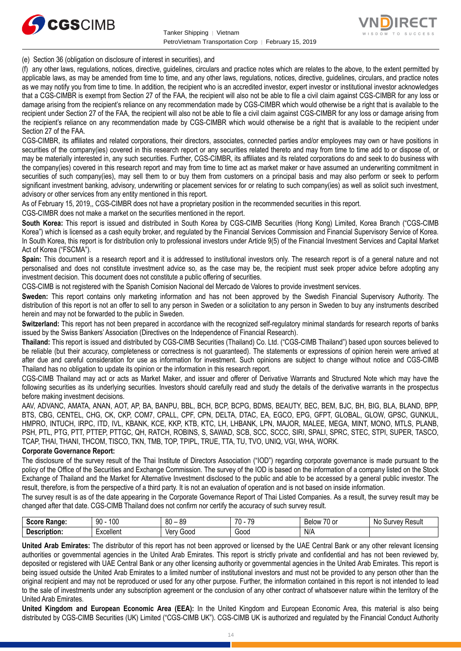



(e) Section 36 (obligation on disclosure of interest in securities), and

(f) any other laws, regulations, notices, directive, guidelines, circulars and practice notes which are relates to the above, to the extent permitted by applicable laws, as may be amended from time to time, and any other laws, regulations, notices, directive, guidelines, circulars, and practice notes as we may notify you from time to time. In addition, the recipient who is an accredited investor, expert investor or institutional investor acknowledges that a CGS-CIMBR is exempt from Section 27 of the FAA, the recipient will also not be able to file a civil claim against CGS-CIMBR for any loss or damage arising from the recipient's reliance on any recommendation made by CGS-CIMBR which would otherwise be a right that is available to the recipient under Section 27 of the FAA, the recipient will also not be able to file a civil claim against CGS-CIMBR for any loss or damage arising from the recipient's reliance on any recommendation made by CGS-CIMBR which would otherwise be a right that is available to the recipient under Section 27 of the FAA.

CGS-CIMBR, its affiliates and related corporations, their directors, associates, connected parties and/or employees may own or have positions in securities of the company(ies) covered in this research report or any securities related thereto and may from time to time add to or dispose of, or may be materially interested in, any such securities. Further, CGS-CIMBR, its affiliates and its related corporations do and seek to do business with the company(ies) covered in this research report and may from time to time act as market maker or have assumed an underwriting commitment in securities of such company(ies), may sell them to or buy them from customers on a principal basis and may also perform or seek to perform significant investment banking, advisory, underwriting or placement services for or relating to such company(ies) as well as solicit such investment, advisory or other services from any entity mentioned in this report.

As of February 15, 2019,, CGS-CIMBR does not have a proprietary position in the recommended securities in this report.

CGS-CIMBR does not make a market on the securities mentioned in the report.

**South Korea:** This report is issued and distributed in South Korea by CGS-CIMB Securities (Hong Kong) Limited, Korea Branch ("CGS-CIMB Korea") which is licensed as a cash equity broker, and regulated by the Financial Services Commission and Financial Supervisory Service of Korea. In South Korea, this report is for distribution only to professional investors under Article 9(5) of the Financial Investment Services and Capital Market Act of Korea ("FSCMA").

**Spain:** This document is a research report and it is addressed to institutional investors only. The research report is of a general nature and not personalised and does not constitute investment advice so, as the case may be, the recipient must seek proper advice before adopting any investment decision. This document does not constitute a public offering of securities.

CGS-CIMB is not registered with the Spanish Comision Nacional del Mercado de Valores to provide investment services.

**Sweden:** This report contains only marketing information and has not been approved by the Swedish Financial Supervisory Authority. The distribution of this report is not an offer to sell to any person in Sweden or a solicitation to any person in Sweden to buy any instruments described herein and may not be forwarded to the public in Sweden.

**Switzerland:** This report has not been prepared in accordance with the recognized self-regulatory minimal standards for research reports of banks issued by the Swiss Bankers' Association (Directives on the Independence of Financial Research).

**Thailand:** This report is issued and distributed by CGS-CIMB Securities (Thailand) Co. Ltd. ("CGS-CIMB Thailand") based upon sources believed to be reliable (but their accuracy, completeness or correctness is not guaranteed). The statements or expressions of opinion herein were arrived at after due and careful consideration for use as information for investment. Such opinions are subject to change without notice and CGS-CIMB Thailand has no obligation to update its opinion or the information in this research report.

CGS-CIMB Thailand may act or acts as Market Maker, and issuer and offerer of Derivative Warrants and Structured Note which may have the following securities as its underlying securities. Investors should carefully read and study the details of the derivative warrants in the prospectus before making investment decisions.

AAV, ADVANC, AMATA, ANAN, AOT, AP, BA, BANPU, BBL, BCH, BCP, BCPG, BDMS, BEAUTY, BEC, BEM, BJC, BH, BIG, BLA, BLAND, BPP, BTS, CBG, CENTEL, CHG, CK, CKP, COM7, CPALL, CPF, CPN, DELTA, DTAC, EA, EGCO, EPG, GFPT, GLOBAL, GLOW, GPSC, GUNKUL, HMPRO, INTUCH, IRPC, ITD, IVL, KBANK, KCE, KKP, KTB, KTC, LH, LHBANK, LPN, MAJOR, MALEE, MEGA, MINT, MONO, MTLS, PLANB, PSH, PTL, PTG, PTT, PTTEP, PTTGC, QH, RATCH, ROBINS, S, SAWAD, SCB, SCC, SCCC, SIRI, SPALI, SPRC, STEC, STPI, SUPER, TASCO, TCAP, THAI, THANI, THCOM, TISCO, TKN, TMB, TOP, TPIPL, TRUE, TTA, TU, TVO, UNIQ, VGI, WHA, WORK.

#### **Corporate Governance Report:**

The disclosure of the survey result of the Thai Institute of Directors Association ("IOD") regarding corporate governance is made pursuant to the policy of the Office of the Securities and Exchange Commission. The survey of the IOD is based on the information of a company listed on the Stock Exchange of Thailand and the Market for Alternative Investment disclosed to the public and able to be accessed by a general public investor. The result, therefore, is from the perspective of a third party. It is not an evaluation of operation and is not based on inside information.

The survey result is as of the date appearing in the Corporate Governance Report of Thai Listed Companies. As a result, the survey result may be changed after that date. CGS-CIMB Thailand does not confirm nor certify the accuracy of such survey result.

| <b>Score</b><br>Range: | 100<br>90                 | $80 -$<br>89 | 70<br>70<br>- 14 | $\overline{\phantom{a}}$<br><b>Below</b><br>/U or | No.<br>Result<br>survev ' |
|------------------------|---------------------------|--------------|------------------|---------------------------------------------------|---------------------------|
| -<br>Description:      | -voollant<br>– vellel i r | Good<br>Verv | GOOD.            | N/A                                               |                           |

**United Arab Emirates:** The distributor of this report has not been approved or licensed by the UAE Central Bank or any other relevant licensing authorities or governmental agencies in the United Arab Emirates. This report is strictly private and confidential and has not been reviewed by, deposited or registered with UAE Central Bank or any other licensing authority or governmental agencies in the United Arab Emirates. This report is being issued outside the United Arab Emirates to a limited number of institutional investors and must not be provided to any person other than the original recipient and may not be reproduced or used for any other purpose. Further, the information contained in this report is not intended to lead to the sale of investments under any subscription agreement or the conclusion of any other contract of whatsoever nature within the territory of the United Arab Emirates.

**United Kingdom and European Economic Area (EEA):** In the United Kingdom and European Economic Area, this material is also being distributed by CGS-CIMB Securities (UK) Limited ("CGS-CIMB UK"). CGS-CIMB UK is authorized and regulated by the Financial Conduct Authority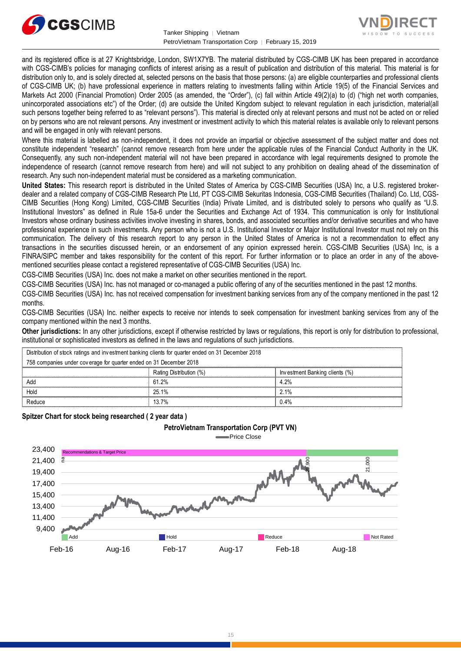



and its registered office is at 27 Knightsbridge, London, SW1X7YB. The material distributed by CGS-CIMB UK has been prepared in accordance with CGS-CIMB's policies for managing conflicts of interest arising as a result of publication and distribution of this material. This material is for distribution only to, and is solely directed at, selected persons on the basis that those persons: (a) are eligible counterparties and professional clients of CGS-CIMB UK; (b) have professional experience in matters relating to investments falling within Article 19(5) of the Financial Services and Markets Act 2000 (Financial Promotion) Order 2005 (as amended, the "Order"), (c) fall within Article 49(2)(a) to (d) ("high net worth companies, unincorporated associations etc") of the Order; (d) are outside the United Kingdom subject to relevant regulation in each jurisdiction, material(all such persons together being referred to as "relevant persons"). This material is directed only at relevant persons and must not be acted on or relied on by persons who are not relevant persons. Any investment or investment activity to which this material relates is available only to relevant persons and will be engaged in only with relevant persons.

Where this material is labelled as non-independent, it does not provide an impartial or objective assessment of the subject matter and does not constitute independent "research" (cannot remove research from here under the applicable rules of the Financial Conduct Authority in the UK. Consequently, any such non-independent material will not have been prepared in accordance with legal requirements designed to promote the independence of research (cannot remove research from here) and will not subject to any prohibition on dealing ahead of the dissemination of research. Any such non-independent material must be considered as a marketing communication.

**United States:** This research report is distributed in the United States of America by CGS-CIMB Securities (USA) Inc, a U.S. registered brokerdealer and a related company of CGS-CIMB Research Pte Ltd, PT CGS-CIMB Sekuritas Indonesia, CGS-CIMB Securities (Thailand) Co. Ltd, CGS-CIMB Securities (Hong Kong) Limited, CGS-CIMB Securities (India) Private Limited, and is distributed solely to persons who qualify as "U.S. Institutional Investors" as defined in Rule 15a-6 under the Securities and Exchange Act of 1934. This communication is only for Institutional Investors whose ordinary business activities involve investing in shares, bonds, and associated securities and/or derivative securities and who have professional experience in such investments. Any person who is not a U.S. Institutional Investor or Major Institutional Investor must not rely on this communication. The delivery of this research report to any person in the United States of America is not a recommendation to effect any transactions in the securities discussed herein, or an endorsement of any opinion expressed herein. CGS-CIMB Securities (USA) Inc, is a FINRA/SIPC member and takes responsibility for the content of this report. For further information or to place an order in any of the abovementioned securities please contact a registered representative of CGS-CIMB Securities (USA) Inc.

CGS-CIMB Securities (USA) Inc. does not make a market on other securities mentioned in the report.

CGS-CIMB Securities (USA) Inc. has not managed or co-managed a public offering of any of the securities mentioned in the past 12 months.

CGS-CIMB Securities (USA) Inc. has not received compensation for investment banking services from any of the company mentioned in the past 12 months.

CGS-CIMB Securities (USA) Inc. neither expects to receive nor intends to seek compensation for investment banking services from any of the company mentioned within the next 3 months.

**Other jurisdictions:** In any other jurisdictions, except if otherwise restricted by laws or regulations, this report is only for distribution to professional, institutional or sophisticated investors as defined in the laws and regulations of such jurisdictions. being the purisdictions: In any other jurisdictions, except if otherwise restricted by laws<br>stitutional or sophisticated investors as defined in the laws and regulations of such j<br>Distribution of stock ratings and investme

| <b>Other jurisdictions:</b> In any other jurisdictions, except if otherwise restricted by laws or regulations, this report is only for distribution to<br>institutional or sophisticated investors as defined in the laws and regulations of such jurisdictions. |                                |  |  |  |
|------------------------------------------------------------------------------------------------------------------------------------------------------------------------------------------------------------------------------------------------------------------|--------------------------------|--|--|--|
| Distribution of stock ratings and investment banking clients for quarter ended on 31 December 2018                                                                                                                                                               |                                |  |  |  |
| 758 companies under coverage for quarter ended on 31 December 2018                                                                                                                                                                                               |                                |  |  |  |
| Rating Distribution (%)                                                                                                                                                                                                                                          | Investment Banking clients (%) |  |  |  |
| 61.2%                                                                                                                                                                                                                                                            | 4.2%                           |  |  |  |
| 25.1%                                                                                                                                                                                                                                                            | $2.1\%$                        |  |  |  |
| Reduce<br>0.4%<br>13.7%                                                                                                                                                                                                                                          |                                |  |  |  |
|                                                                                                                                                                                                                                                                  |                                |  |  |  |

**Spitzer Chart for stock being researched ( 2 year data )** 

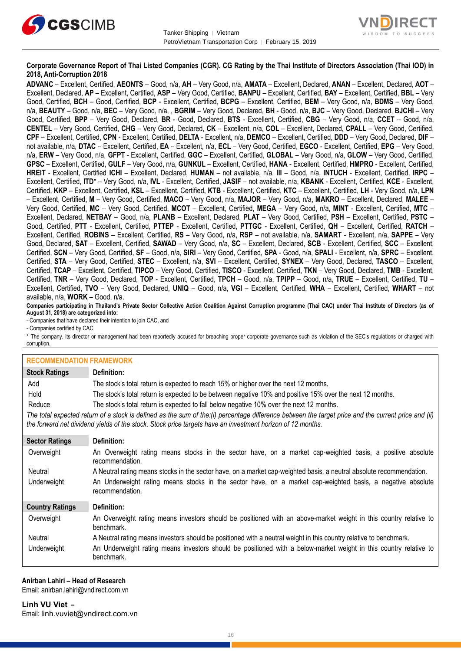



#### **Corporate Governance Report of Thai Listed Companies (CGR). CG Rating by the Thai Institute of Directors Association (Thai IOD) in 2018, Anti-Corruption 2018**

**ADVANC** – Excellent, Certified, **AEONTS** – Good, n/a, **AH** – Very Good, n/a, **AMATA** – Excellent, Declared, **ANAN** – Excellent, Declared, **AOT** – Excellent, Declared, **AP** – Excellent, Certified, **ASP** – Very Good, Certified, **BANPU** – Excellent, Certified, **BAY** – Excellent, Certified, **BBL** – Very Good, Certified, **BCH** – Good, Certified, **BCP** - Excellent, Certified, **BCPG** – Excellent, Certified, **BEM** – Very Good, n/a, **BDMS** – Very Good, n/a, **BEAUTY** – Good, n/a, **BEC** – Very Good, n/a, , **BGRIM** – Very Good, Declared, **BH** - Good, n/a, **BJC** – Very Good, Declared, **BJCHI** – Very Good, Certified, **BPP** – Very Good, Declared, **BR** - Good, Declared, **BTS** - Excellent, Certified, **CBG** – Very Good, n/a, **CCET** – Good, n/a, **CENTEL** – Very Good, Certified, **CHG** – Very Good, Declared, **CK** – Excellent, n/a, **COL** – Excellent, Declared, **CPALL** – Very Good, Certified, **CPF** – Excellent, Certified, **CPN** - Excellent, Certified, **DELTA** - Excellent, n/a, **DEMCO** – Excellent, Certified, **DDD** – Very Good, Declared, **DIF** – not available, n/a, **DTAC** – Excellent, Certified, **EA** – Excellent, n/a, **ECL** – Very Good, Certified, **EGCO** - Excellent, Certified, **EPG** – Very Good, n/a, **ERW** – Very Good, n/a, **GFPT** - Excellent, Certified, **GGC** – Excellent, Certified, **GLOBAL** – Very Good, n/a, **GLOW** – Very Good, Certified, **GPSC** – Excellent, Certified, **GULF** – Very Good, n/a, **GUNKUL** – Excellent, Certified, **HANA** - Excellent, Certified, **HMPRO** - Excellent, Certified, **HREIT** - Excellent, Certified **ICHI** – Excellent, Declared, **HUMAN** – not available, n/a, **III** – Good, n/a, **INTUCH** - Excellent, Certified, **IRPC** – Excellent, Certified, **ITD**\* – Very Good, n/a, **IVL** - Excellent, Certified, **JASIF** – not available, n/a, **KBANK** - Excellent, Certified, **KCE** - Excellent, Certified, **KKP** – Excellent, Certified, **KSL** – Excellent, Certified, **KTB** - Excellent, Certified, **KTC** – Excellent, Certified, **LH** - Very Good, n/a, **LPN** – Excellent, Certified, **M** – Very Good, Certified, **MACO** – Very Good, n/a, **MAJOR** – Very Good, n/a, **MAKRO** – Excellent, Declared, **MALEE** – Very Good, Certified, **MC** – Very Good, Certified, **MCOT** – Excellent, Certified, **MEGA** – Very Good, n/a, **MINT** - Excellent, Certified, **MTC** – Excellent, Declared, **NETBAY** – Good, n/a, **PLANB** – Excellent, Declared, **PLAT** – Very Good, Certified, **PSH** – Excellent, Certified, **PSTC** – Good, Certified, **PTT** - Excellent, Certified, **PTTEP** - Excellent, Certified, **PTTGC** - Excellent, Certified, **QH** – Excellent, Certified, **RATCH** – Excellent, Certified, **ROBINS** – Excellent, Certified, **RS** – Very Good, n/a, **RSP** – not available, n/a, **SAMART** - Excellent, n/a, **SAPPE** – Very Good, Declared, **SAT** – Excellent, Certified, **SAWAD** – Very Good, n/a, **SC** – Excellent, Declared, **SCB** - Excellent, Certified, **SCC** – Excellent, Certified, **SCN** – Very Good, Certified, **SF** – Good, n/a, **SIRI** – Very Good, Certified, **SPA** - Good, n/a, **SPALI** - Excellent, n/a, **SPRC** – Excellent, Certified, **STA** – Very Good, Certified, **STEC** – Excellent, n/a, **SVI** – Excellent, Certified, **SYNEX** – Very Good, Declared, **TASCO** – Excellent, Certified, **TCAP** – Excellent, Certified, **TIPCO** – Very Good, Certified, **TISCO** - Excellent, Certified, **TKN** – Very Good, Declared, **TMB** - Excellent, Certified, **TNR** – Very Good, Declared, **TOP** - Excellent, Certified, **TPCH** – Good, n/a, **TPIPP** – Good, n/a, **TRUE** – Excellent, Certified, **TU** – Excellent, Certified, **TVO** – Very Good, Declared, **UNIQ** – Good, n/a, **VGI** – Excellent, Certified, **WHA** – Excellent, Certified, **WHART** – not available, n/a, **WORK** – Good, n/a.

**Companies participating in Thailand's Private Sector Collective Action Coalition Against Corruption programme (Thai CAC) under Thai Institute of Directors (as of August 31, 2018) are categorized into:**

- Companies that have declared their intention to join CAC, and

- Companies certified by CAC

\* The company, its director or management had been reportedly accused for breaching proper corporate governance such as violation of the SEC's regulations or charged with corruption.

| <b>RECOMMENDATION FRAMEWORK</b> |                                                                                                                                                                                                                                                                   |
|---------------------------------|-------------------------------------------------------------------------------------------------------------------------------------------------------------------------------------------------------------------------------------------------------------------|
| <b>Stock Ratings</b>            | Definition:                                                                                                                                                                                                                                                       |
| Add                             | The stock's total return is expected to reach 15% or higher over the next 12 months.                                                                                                                                                                              |
| Hold                            | The stock's total return is expected to be between negative 10% and positive 15% over the next 12 months.                                                                                                                                                         |
| Reduce                          | The stock's total return is expected to fall below negative 10% over the next 12 months.                                                                                                                                                                          |
|                                 | The total expected return of a stock is defined as the sum of the:(i) percentage difference between the target price and the current price and (ii)<br>the forward net dividend yields of the stock. Stock price targets have an investment horizon of 12 months. |
| <b>Sector Ratings</b>           | Definition:                                                                                                                                                                                                                                                       |
| Overweight                      | An Overweight rating means stocks in the sector have, on a market cap-weighted basis, a positive absolute<br>recommendation.                                                                                                                                      |
| Neutral                         | A Neutral rating means stocks in the sector have, on a market cap-weighted basis, a neutral absolute recommendation.                                                                                                                                              |
| Underweight                     | An Underweight rating means stocks in the sector have, on a market cap-weighted basis, a negative absolute<br>recommendation.                                                                                                                                     |
| <b>Country Ratings</b>          | Definition:                                                                                                                                                                                                                                                       |
| Overweight                      | An Overweight rating means investors should be positioned with an above-market weight in this country relative to<br>benchmark.                                                                                                                                   |
| Neutral                         | A Neutral rating means investors should be positioned with a neutral weight in this country relative to benchmark.                                                                                                                                                |
| Underweight                     | An Underweight rating means investors should be positioned with a below-market weight in this country relative to<br>benchmark.                                                                                                                                   |

#### **Anirban Lahiri – Head of Research**

Email[: anirban.lahiri@vndirect.com.vn](mailto:anirban.lahiri@vndirect.com.vn)

**Linh VU Viet –** Email: [linh.vuviet@vndirect.com.vn](mailto:linh.vuviet@vndirect.com.vn)